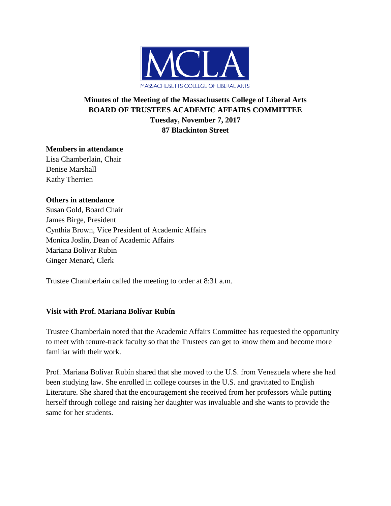

# **Minutes of the Meeting of the Massachusetts College of Liberal Arts BOARD OF TRUSTEES ACADEMIC AFFAIRS COMMITTEE Tuesday, November 7, 2017 87 Blackinton Street**

## **Members in attendance**

Lisa Chamberlain, Chair Denise Marshall Kathy Therrien

## **Others in attendance**

Susan Gold, Board Chair James Birge, President Cynthia Brown, Vice President of Academic Affairs Monica Joslin, Dean of Academic Affairs Mariana Bolivar Rubin Ginger Menard, Clerk

Trustee Chamberlain called the meeting to order at 8:31 a.m.

## **Visit with Prof. Mariana Bolívar Rubín**

Trustee Chamberlain noted that the Academic Affairs Committee has requested the opportunity to meet with tenure-track faculty so that the Trustees can get to know them and become more familiar with their work.

Prof. Mariana Bolívar Rubín shared that she moved to the U.S. from Venezuela where she had been studying law. She enrolled in college courses in the U.S. and gravitated to English Literature. She shared that the encouragement she received from her professors while putting herself through college and raising her daughter was invaluable and she wants to provide the same for her students.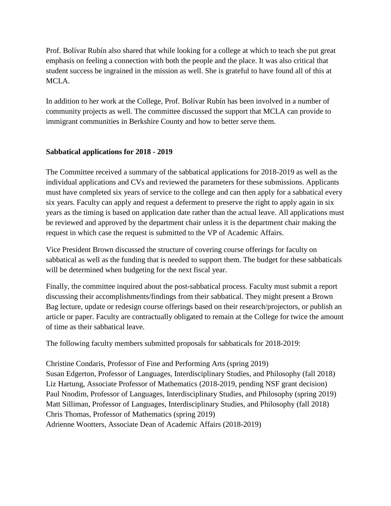Prof. Bolívar Rubín also shared that while looking for a college at which to teach she put great emphasis on feeling a connection with both the people and the place. It was also critical that student success be ingrained in the mission as well. She is grateful to have found all of this at MCLA.

In addition to her work at the College, Prof. Bolívar Rubín has been involved in a number of community projects as well. The committee discussed the support that MCLA can provide to immigrant communities in Berkshire County and how to better serve them.

## **Sabbatical applications for 2018 - 2019**

The Committee received a summary of the sabbatical applications for 2018-2019 as well as the individual applications and CVs and reviewed the parameters for these submissions. Applicants must have completed six years of service to the college and can then apply for a sabbatical every six years. Faculty can apply and request a deferment to preserve the right to apply again in six years as the timing is based on application date rather than the actual leave. All applications must be reviewed and approved by the department chair unless it is the department chair making the request in which case the request is submitted to the VP of Academic Affairs.

Vice President Brown discussed the structure of covering course offerings for faculty on sabbatical as well as the funding that is needed to support them. The budget for these sabbaticals will be determined when budgeting for the next fiscal year.

Finally, the committee inquired about the post-sabbatical process. Faculty must submit a report discussing their accomplishments/findings from their sabbatical. They might present a Brown Bag lecture, update or redesign course offerings based on their research/projectors, or publish an article or paper. Faculty are contractually obligated to remain at the College for twice the amount of time as their sabbatical leave.

The following faculty members submitted proposals for sabbaticals for 2018-2019:

Christine Condaris, Professor of Fine and Performing Arts (spring 2019) Susan Edgerton, Professor of Languages, Interdisciplinary Studies, and Philosophy (fall 2018) Liz Hartung, Associate Professor of Mathematics (2018-2019, pending NSF grant decision) Paul Nnodim, Professor of Languages, Interdisciplinary Studies, and Philosophy (spring 2019) Matt Silliman, Professor of Languages, Interdisciplinary Studies, and Philosophy (fall 2018) Chris Thomas, Professor of Mathematics (spring 2019) Adrienne Wootters, Associate Dean of Academic Affairs (2018-2019)